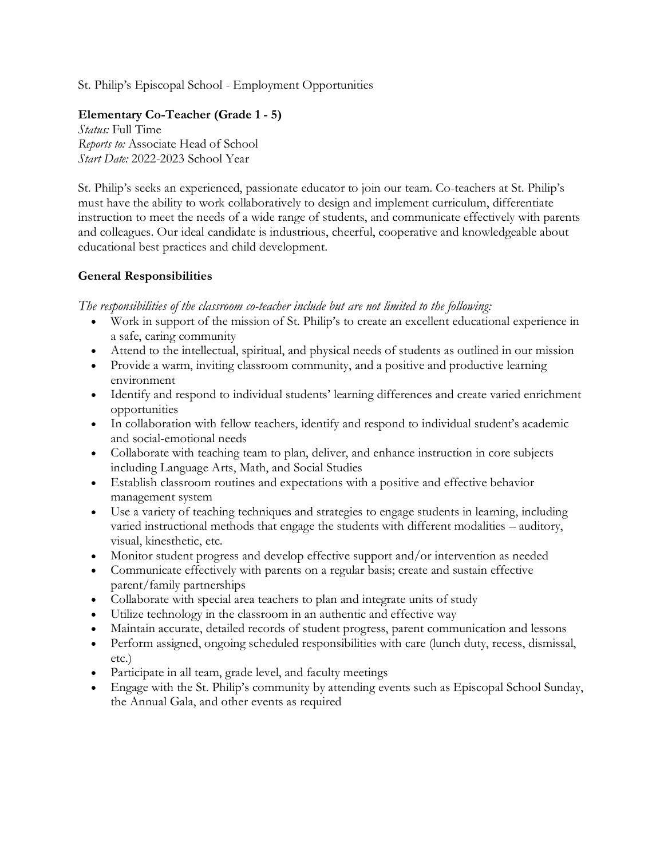St. Philip's Episcopal School - Employment Opportunities

## **Elementary Co-Teacher (Grade 1 - 5)**

*Status:* Full Time *Reports to:* Associate Head of School *Start Date:* 2022-2023 School Year

St. Philip's seeks an experienced, passionate educator to join our team. Co-teachers at St. Philip's must have the ability to work collaboratively to design and implement curriculum, differentiate instruction to meet the needs of a wide range of students, and communicate effectively with parents and colleagues. Our ideal candidate is industrious, cheerful, cooperative and knowledgeable about educational best practices and child development.

## **General Responsibilities**

*The responsibilities of the classroom co-teacher include but are not limited to the following:*

- Work in support of the mission of St. Philip's to create an excellent educational experience in a safe, caring community
- Attend to the intellectual, spiritual, and physical needs of students as outlined in our mission
- Provide a warm, inviting classroom community, and a positive and productive learning environment
- Identify and respond to individual students' learning differences and create varied enrichment opportunities
- In collaboration with fellow teachers, identify and respond to individual student's academic and social-emotional needs
- Collaborate with teaching team to plan, deliver, and enhance instruction in core subjects including Language Arts, Math, and Social Studies
- Establish classroom routines and expectations with a positive and effective behavior management system
- Use a variety of teaching techniques and strategies to engage students in learning, including varied instructional methods that engage the students with different modalities – auditory, visual, kinesthetic, etc.
- Monitor student progress and develop effective support and/or intervention as needed
- Communicate effectively with parents on a regular basis; create and sustain effective parent/family partnerships
- Collaborate with special area teachers to plan and integrate units of study
- Utilize technology in the classroom in an authentic and effective way
- Maintain accurate, detailed records of student progress, parent communication and lessons
- Perform assigned, ongoing scheduled responsibilities with care (lunch duty, recess, dismissal, etc.)
- Participate in all team, grade level, and faculty meetings
- Engage with the St. Philip's community by attending events such as Episcopal School Sunday, the Annual Gala, and other events as required